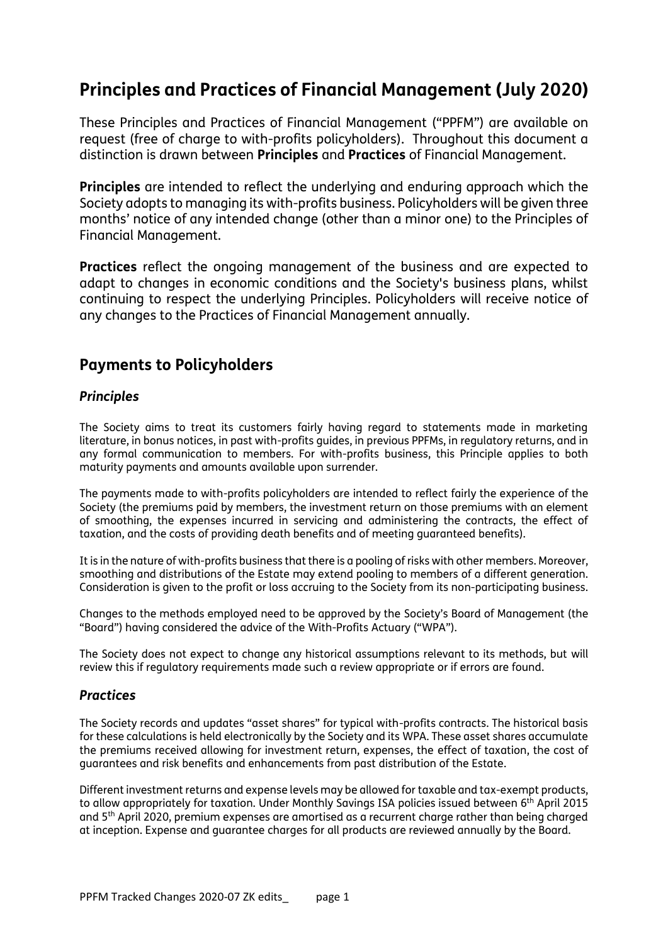# **Principles and Practices of Financial Management (July 2020)**

These Principles and Practices of Financial Management ("PPFM") are available on request (free of charge to with-profits policyholders). Throughout this document a distinction is drawn between **Principles** and **Practices** of Financial Management.

**Principles** are intended to reflect the underlying and enduring approach which the Society adopts to managing its with-profits business. Policyholders will be given three months' notice of any intended change (other than a minor one) to the Principles of Financial Management.

**Practices** reflect the ongoing management of the business and are expected to adapt to changes in economic conditions and the Society's business plans, whilst continuing to respect the underlying Principles. Policyholders will receive notice of any changes to the Practices of Financial Management annually.

# **Payments to Policyholders**

## *Principles*

The Society aims to treat its customers fairly having regard to statements made in marketing literature, in bonus notices, in past with-profits guides, in previous PPFMs, in regulatory returns, and in any formal communication to members. For with-profits business, this Principle applies to both maturity payments and amounts available upon surrender.

The payments made to with-profits policyholders are intended to reflect fairly the experience of the Society (the premiums paid by members, the investment return on those premiums with an element of smoothing, the expenses incurred in servicing and administering the contracts, the effect of taxation, and the costs of providing death benefits and of meeting guaranteed benefits).

It is in the nature of with-profits business that there is a pooling of risks with other members. Moreover, smoothing and distributions of the Estate may extend pooling to members of a different generation. Consideration is given to the profit or loss accruing to the Society from its non-participating business.

Changes to the methods employed need to be approved by the Society's Board of Management (the "Board") having considered the advice of the With-Profits Actuary ("WPA").

The Society does not expect to change any historical assumptions relevant to its methods, but will review this if regulatory requirements made such a review appropriate or if errors are found.

## *Practices*

The Society records and updates "asset shares" for typical with-profits contracts. The historical basis for these calculations is held electronically by the Society and its WPA. These asset shares accumulate the premiums received allowing for investment return, expenses, the effect of taxation, the cost of guarantees and risk benefits and enhancements from past distribution of the Estate.

Different investment returns and expense levels may be allowed for taxable and tax-exempt products, to allow appropriately for taxation. Under Monthly Savings ISA policies issued between 6th April 2015 and 5th April 2020, premium expenses are amortised as a recurrent charge rather than being charged at inception. Expense and guarantee charges for all products are reviewed annually by the Board.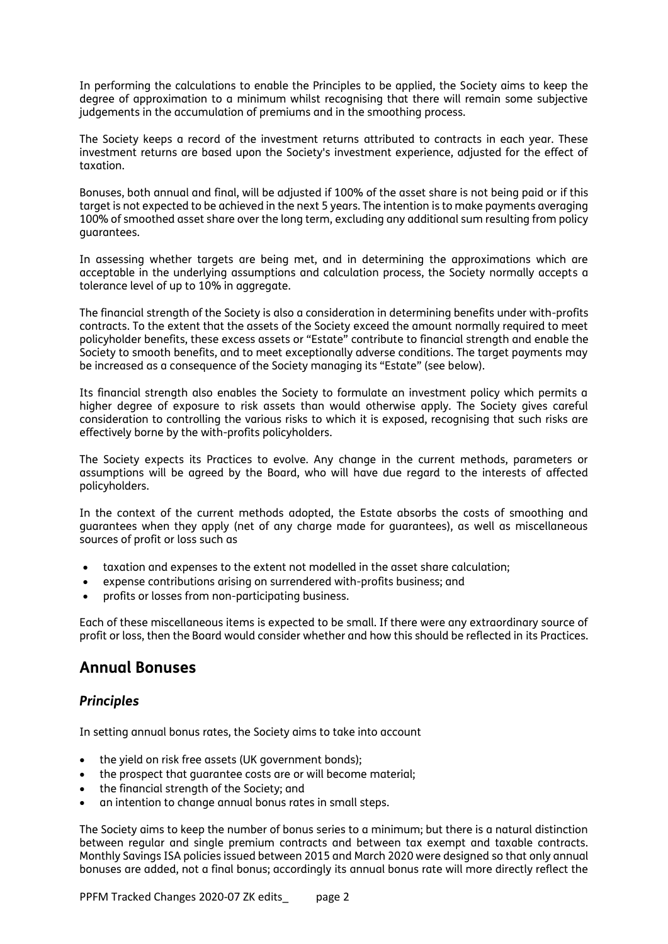In performing the calculations to enable the Principles to be applied, the Society aims to keep the degree of approximation to a minimum whilst recognising that there will remain some subjective judgements in the accumulation of premiums and in the smoothing process.

The Society keeps a record of the investment returns attributed to contracts in each year. These investment returns are based upon the Society's investment experience, adjusted for the effect of taxation.

Bonuses, both annual and final, will be adjusted if 100% of the asset share is not being paid or if this target is not expected to be achieved in the next 5 years. The intention is to make payments averaging 100% of smoothed asset share over the long term, excluding any additional sum resulting from policy guarantees.

In assessing whether targets are being met, and in determining the approximations which are acceptable in the underlying assumptions and calculation process, the Society normally accepts a tolerance level of up to 10% in aggregate.

The financial strength of the Society is also a consideration in determining benefits under with-profits contracts. To the extent that the assets of the Society exceed the amount normally required to meet policyholder benefits, these excess assets or "Estate" contribute to financial strength and enable the Society to smooth benefits, and to meet exceptionally adverse conditions. The target payments may be increased as a consequence of the Society managing its "Estate" (see below).

Its financial strength also enables the Society to formulate an investment policy which permits a higher degree of exposure to risk assets than would otherwise apply. The Society gives careful consideration to controlling the various risks to which it is exposed, recognising that such risks are effectively borne by the with-profits policyholders.

The Society expects its Practices to evolve. Any change in the current methods, parameters or assumptions will be agreed by the Board, who will have due regard to the interests of affected policyholders.

In the context of the current methods adopted, the Estate absorbs the costs of smoothing and guarantees when they apply (net of any charge made for guarantees), as well as miscellaneous sources of profit or loss such as

- taxation and expenses to the extent not modelled in the asset share calculation;
- expense contributions arising on surrendered with-profits business; and
- profits or losses from non-participating business.

Each of these miscellaneous items is expected to be small. If there were any extraordinary source of profit or loss, then the Board would consider whether and how this should be reflected in its Practices.

# **Annual Bonuses**

#### *Principles*

In setting annual bonus rates, the Society aims to take into account

- the yield on risk free assets (UK government bonds);
- the prospect that guarantee costs are or will become material;
- the financial strength of the Society; and
- an intention to change annual bonus rates in small steps.

The Society aims to keep the number of bonus series to a minimum; but there is a natural distinction between regular and single premium contracts and between tax exempt and taxable contracts. Monthly Savings ISA policies issued between 2015 and March 2020 were designed so that only annual bonuses are added, not a final bonus; accordingly its annual bonus rate will more directly reflect the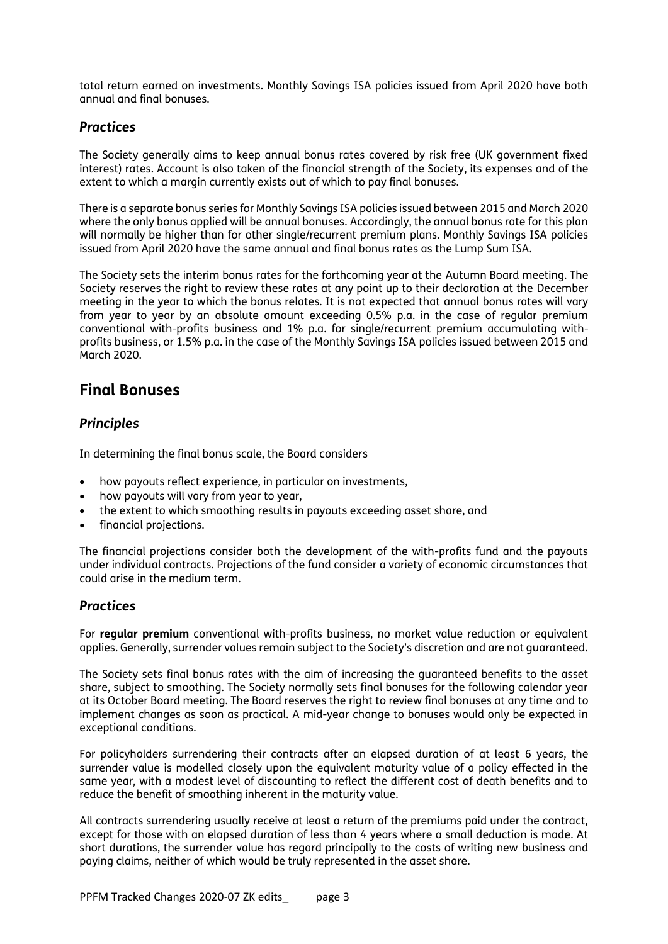total return earned on investments. Monthly Savings ISA policies issued from April 2020 have both annual and final bonuses.

#### *Practices*

The Society generally aims to keep annual bonus rates covered by risk free (UK government fixed interest) rates. Account is also taken of the financial strength of the Society, its expenses and of the extent to which a margin currently exists out of which to pay final bonuses.

There is a separate bonus series for Monthly Savings ISA policies issued between 2015 and March 2020 where the only bonus applied will be annual bonuses. Accordingly, the annual bonus rate for this plan will normally be higher than for other single/recurrent premium plans. Monthly Savings ISA policies issued from April 2020 have the same annual and final bonus rates as the Lump Sum ISA.

The Society sets the interim bonus rates for the forthcoming year at the Autumn Board meeting. The Society reserves the right to review these rates at any point up to their declaration at the December meeting in the year to which the bonus relates. It is not expected that annual bonus rates will vary from year to year by an absolute amount exceeding 0.5% p.a. in the case of regular premium conventional with-profits business and 1% p.a. for single/recurrent premium accumulating withprofits business, or 1.5% p.a. in the case of the Monthly Savings ISA policies issued between 2015 and March 2020.

# **Final Bonuses**

## *Principles*

In determining the final bonus scale, the Board considers

- how payouts reflect experience, in particular on investments,
- how payouts will vary from year to year,
- the extent to which smoothing results in payouts exceeding asset share, and
- financial projections.

The financial projections consider both the development of the with-profits fund and the payouts under individual contracts. Projections of the fund consider a variety of economic circumstances that could arise in the medium term.

#### *Practices*

For **regular premium** conventional with-profits business, no market value reduction or equivalent applies. Generally, surrender values remain subject to the Society's discretion and are not guaranteed.

The Society sets final bonus rates with the aim of increasing the guaranteed benefits to the asset share, subject to smoothing. The Society normally sets final bonuses for the following calendar year at its October Board meeting. The Board reserves the right to review final bonuses at any time and to implement changes as soon as practical. A mid-year change to bonuses would only be expected in exceptional conditions.

For policyholders surrendering their contracts after an elapsed duration of at least 6 years, the surrender value is modelled closely upon the equivalent maturity value of a policy effected in the same year, with a modest level of discounting to reflect the different cost of death benefits and to reduce the benefit of smoothing inherent in the maturity value.

All contracts surrendering usually receive at least a return of the premiums paid under the contract, except for those with an elapsed duration of less than 4 years where a small deduction is made. At short durations, the surrender value has regard principally to the costs of writing new business and paying claims, neither of which would be truly represented in the asset share.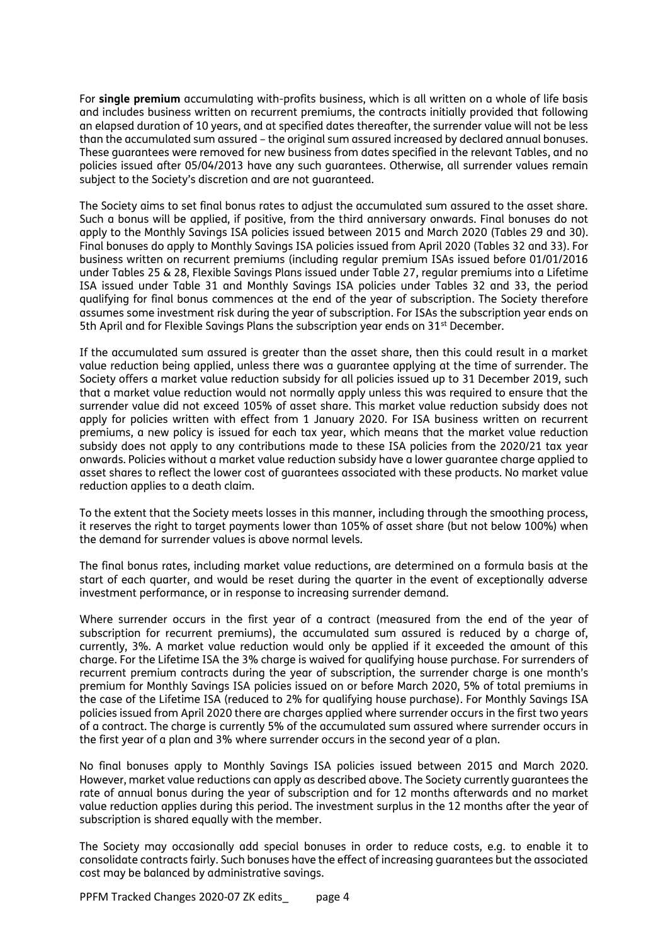For **single premium** accumulating with-profits business, which is all written on a whole of life basis and includes business written on recurrent premiums, the contracts initially provided that following an elapsed duration of 10 years, and at specified dates thereafter, the surrender value will not be less than the accumulated sum assured – the original sum assured increased by declared annual bonuses. These guarantees were removed for new business from dates specified in the relevant Tables, and no policies issued after 05/04/2013 have any such guarantees. Otherwise, all surrender values remain subject to the Society's discretion and are not guaranteed.

The Society aims to set final bonus rates to adjust the accumulated sum assured to the asset share. Such a bonus will be applied, if positive, from the third anniversary onwards. Final bonuses do not apply to the Monthly Savings ISA policies issued between 2015 and March 2020 (Tables 29 and 30). Final bonuses do apply to Monthly Savings ISA policies issued from April 2020 (Tables 32 and 33). For business written on recurrent premiums (including regular premium ISAs issued before 01/01/2016 under Tables 25 & 28, Flexible Savings Plans issued under Table 27, regular premiums into a Lifetime ISA issued under Table 31 and Monthly Savings ISA policies under Tables 32 and 33, the period qualifying for final bonus commences at the end of the year of subscription. The Society therefore assumes some investment risk during the year of subscription. For ISAs the subscription year ends on 5th April and for Flexible Savings Plans the subscription year ends on 31<sup>st</sup> December.

If the accumulated sum assured is greater than the asset share, then this could result in a market value reduction being applied, unless there was a guarantee applying at the time of surrender. The Society offers a market value reduction subsidy for all policies issued up to 31 December 2019, such that a market value reduction would not normally apply unless this was required to ensure that the surrender value did not exceed 105% of asset share. This market value reduction subsidy does not apply for policies written with effect from 1 January 2020. For ISA business written on recurrent premiums, a new policy is issued for each tax year, which means that the market value reduction subsidy does not apply to any contributions made to these ISA policies from the 2020/21 tax year onwards. Policies without a market value reduction subsidy have a lower guarantee charge applied to asset shares to reflect the lower cost of guarantees associated with these products. No market value reduction applies to a death claim.

To the extent that the Society meets losses in this manner, including through the smoothing process, it reserves the right to target payments lower than 105% of asset share (but not below 100%) when the demand for surrender values is above normal levels.

The final bonus rates, including market value reductions, are determined on a formula basis at the start of each quarter, and would be reset during the quarter in the event of exceptionally adverse investment performance, or in response to increasing surrender demand.

Where surrender occurs in the first year of a contract (measured from the end of the year of subscription for recurrent premiums), the accumulated sum assured is reduced by a charge of, currently, 3%. A market value reduction would only be applied if it exceeded the amount of this charge. For the Lifetime ISA the 3% charge is waived for qualifying house purchase. For surrenders of recurrent premium contracts during the year of subscription, the surrender charge is one month's premium for Monthly Savings ISA policies issued on or before March 2020, 5% of total premiums in the case of the Lifetime ISA (reduced to 2% for qualifying house purchase). For Monthly Savings ISA policies issued from April 2020 there are charges applied where surrender occurs in the first two years of a contract. The charge is currently 5% of the accumulated sum assured where surrender occurs in the first year of a plan and 3% where surrender occurs in the second year of a plan.

No final bonuses apply to Monthly Savings ISA policies issued between 2015 and March 2020. However, market value reductions can apply as described above. The Society currently guarantees the rate of annual bonus during the year of subscription and for 12 months afterwards and no market value reduction applies during this period. The investment surplus in the 12 months after the year of subscription is shared equally with the member.

The Society may occasionally add special bonuses in order to reduce costs, e.g. to enable it to consolidate contracts fairly. Such bonuses have the effect of increasing guarantees but the associated cost may be balanced by administrative savings.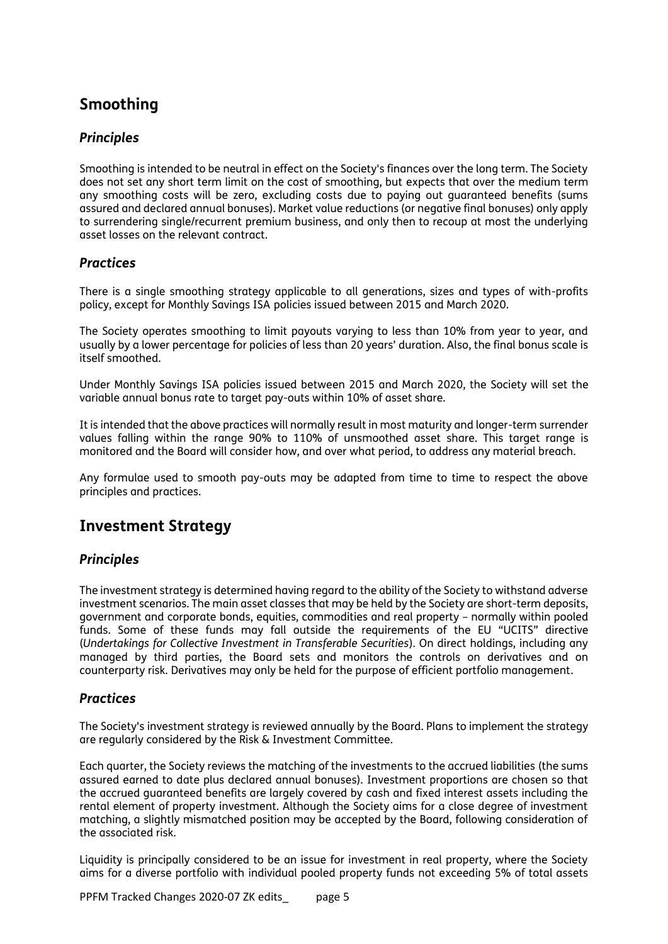# **Smoothing**

## *Principles*

Smoothing is intended to be neutral in effect on the Society's finances over the long term. The Society does not set any short term limit on the cost of smoothing, but expects that over the medium term any smoothing costs will be zero, excluding costs due to paying out guaranteed benefits (sums assured and declared annual bonuses). Market value reductions (or negative final bonuses) only apply to surrendering single/recurrent premium business, and only then to recoup at most the underlying asset losses on the relevant contract.

## *Practices*

There is a single smoothing strategy applicable to all generations, sizes and types of with-profits policy, except for Monthly Savings ISA policies issued between 2015 and March 2020.

The Society operates smoothing to limit payouts varying to less than 10% from year to year, and usually by a lower percentage for policies of less than 20 years' duration. Also, the final bonus scale is itself smoothed.

Under Monthly Savings ISA policies issued between 2015 and March 2020, the Society will set the variable annual bonus rate to target pay-outs within 10% of asset share.

It is intended that the above practices will normally result in most maturity and longer-term surrender values falling within the range 90% to 110% of unsmoothed asset share. This target range is monitored and the Board will consider how, and over what period, to address any material breach.

Any formulae used to smooth pay-outs may be adapted from time to time to respect the above principles and practices.

# **Investment Strategy**

## *Principles*

The investment strategy is determined having regard to the ability of the Society to withstand adverse investment scenarios. The main asset classes that may be held by the Society are short-term deposits, government and corporate bonds, equities, commodities and real property – normally within pooled funds. Some of these funds may fall outside the requirements of the EU "UCITS" directive (*Undertakings for Collective Investment in Transferable Securities*). On direct holdings, including any managed by third parties, the Board sets and monitors the controls on derivatives and on counterparty risk. Derivatives may only be held for the purpose of efficient portfolio management.

## *Practices*

The Society's investment strategy is reviewed annually by the Board. Plans to implement the strategy are regularly considered by the Risk & Investment Committee.

Each quarter, the Society reviews the matching of the investments to the accrued liabilities (the sums assured earned to date plus declared annual bonuses). Investment proportions are chosen so that the accrued guaranteed benefits are largely covered by cash and fixed interest assets including the rental element of property investment. Although the Society aims for a close degree of investment matching, a slightly mismatched position may be accepted by the Board, following consideration of the associated risk.

Liquidity is principally considered to be an issue for investment in real property, where the Society aims for a diverse portfolio with individual pooled property funds not exceeding 5% of total assets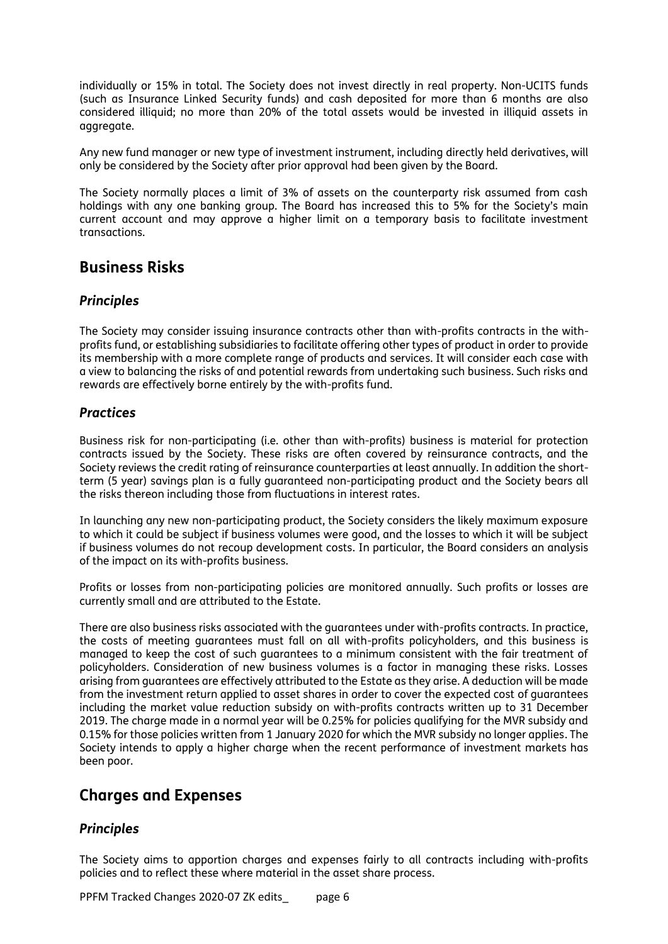individually or 15% in total. The Society does not invest directly in real property. Non-UCITS funds (such as Insurance Linked Security funds) and cash deposited for more than 6 months are also considered illiquid; no more than 20% of the total assets would be invested in illiquid assets in aggregate.

Any new fund manager or new type of investment instrument, including directly held derivatives, will only be considered by the Society after prior approval had been given by the Board.

The Society normally places a limit of 3% of assets on the counterparty risk assumed from cash holdings with any one banking group. The Board has increased this to 5% for the Society's main current account and may approve a higher limit on a temporary basis to facilitate investment transactions.

# **Business Risks**

#### *Principles*

The Society may consider issuing insurance contracts other than with-profits contracts in the withprofits fund, or establishing subsidiaries to facilitate offering other types of product in order to provide its membership with a more complete range of products and services. It will consider each case with a view to balancing the risks of and potential rewards from undertaking such business. Such risks and rewards are effectively borne entirely by the with-profits fund.

#### *Practices*

Business risk for non-participating (i.e. other than with-profits) business is material for protection contracts issued by the Society. These risks are often covered by reinsurance contracts, and the Society reviews the credit rating of reinsurance counterparties at least annually. In addition the shortterm (5 year) savings plan is a fully guaranteed non-participating product and the Society bears all the risks thereon including those from fluctuations in interest rates.

In launching any new non-participating product, the Society considers the likely maximum exposure to which it could be subject if business volumes were good, and the losses to which it will be subject if business volumes do not recoup development costs. In particular, the Board considers an analysis of the impact on its with-profits business.

Profits or losses from non-participating policies are monitored annually. Such profits or losses are currently small and are attributed to the Estate.

There are also business risks associated with the guarantees under with-profits contracts. In practice, the costs of meeting guarantees must fall on all with-profits policyholders, and this business is managed to keep the cost of such guarantees to a minimum consistent with the fair treatment of policyholders. Consideration of new business volumes is a factor in managing these risks. Losses arising from guarantees are effectively attributed to the Estate as they arise. A deduction will be made from the investment return applied to asset shares in order to cover the expected cost of guarantees including the market value reduction subsidy on with-profits contracts written up to 31 December 2019. The charge made in a normal year will be 0.25% for policies qualifying for the MVR subsidy and 0.15% for those policies written from 1 January 2020 for which the MVR subsidy no longer applies. The Society intends to apply a higher charge when the recent performance of investment markets has been poor.

# **Charges and Expenses**

#### *Principles*

The Society aims to apportion charges and expenses fairly to all contracts including with-profits policies and to reflect these where material in the asset share process.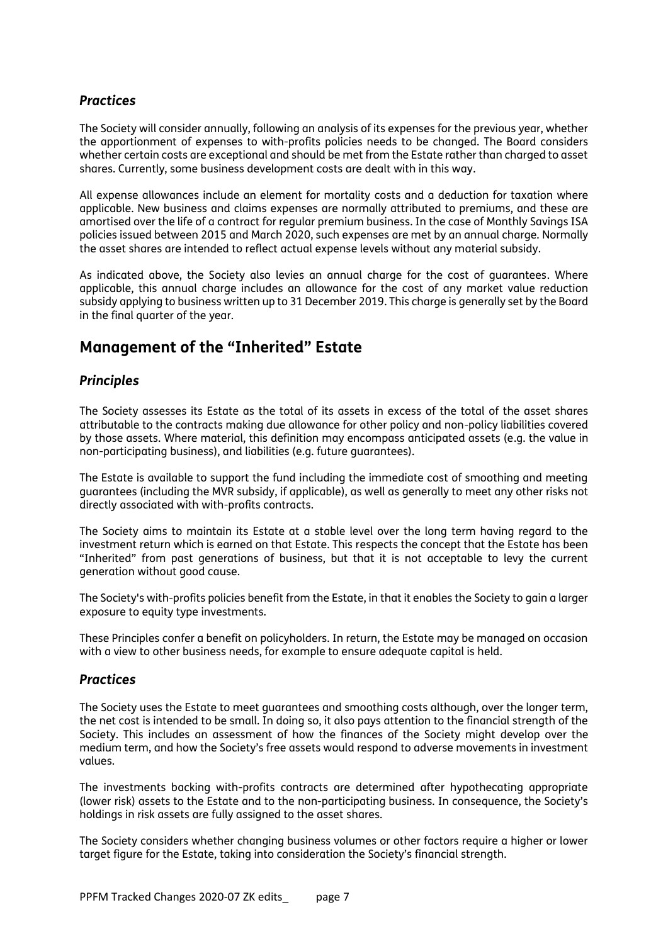## *Practices*

The Society will consider annually, following an analysis of its expenses for the previous year, whether the apportionment of expenses to with-profits policies needs to be changed. The Board considers whether certain costs are exceptional and should be met from the Estate rather than charged to asset shares. Currently, some business development costs are dealt with in this way.

All expense allowances include an element for mortality costs and a deduction for taxation where applicable. New business and claims expenses are normally attributed to premiums, and these are amortised over the life of a contract for regular premium business. In the case of Monthly Savings ISA policies issued between 2015 and March 2020, such expenses are met by an annual charge. Normally the asset shares are intended to reflect actual expense levels without any material subsidy.

As indicated above, the Society also levies an annual charge for the cost of guarantees. Where applicable, this annual charge includes an allowance for the cost of any market value reduction subsidy applying to business written up to 31 December 2019. This charge is generally set by the Board in the final quarter of the year.

# **Management of the "Inherited" Estate**

#### *Principles*

The Society assesses its Estate as the total of its assets in excess of the total of the asset shares attributable to the contracts making due allowance for other policy and non-policy liabilities covered by those assets. Where material, this definition may encompass anticipated assets (e.g. the value in non-participating business), and liabilities (e.g. future guarantees).

The Estate is available to support the fund including the immediate cost of smoothing and meeting guarantees (including the MVR subsidy, if applicable), as well as generally to meet any other risks not directly associated with with-profits contracts.

The Society aims to maintain its Estate at a stable level over the long term having regard to the investment return which is earned on that Estate. This respects the concept that the Estate has been "Inherited" from past generations of business, but that it is not acceptable to levy the current generation without good cause.

The Society's with-profits policies benefit from the Estate, in that it enables the Society to gain a larger exposure to equity type investments.

These Principles confer a benefit on policyholders. In return, the Estate may be managed on occasion with a view to other business needs, for example to ensure adequate capital is held.

#### *Practices*

The Society uses the Estate to meet guarantees and smoothing costs although, over the longer term, the net cost is intended to be small. In doing so, it also pays attention to the financial strength of the Society. This includes an assessment of how the finances of the Society might develop over the medium term, and how the Society's free assets would respond to adverse movements in investment values.

The investments backing with-profits contracts are determined after hypothecating appropriate (lower risk) assets to the Estate and to the non-participating business. In consequence, the Society's holdings in risk assets are fully assigned to the asset shares.

The Society considers whether changing business volumes or other factors require a higher or lower target figure for the Estate, taking into consideration the Society's financial strength.